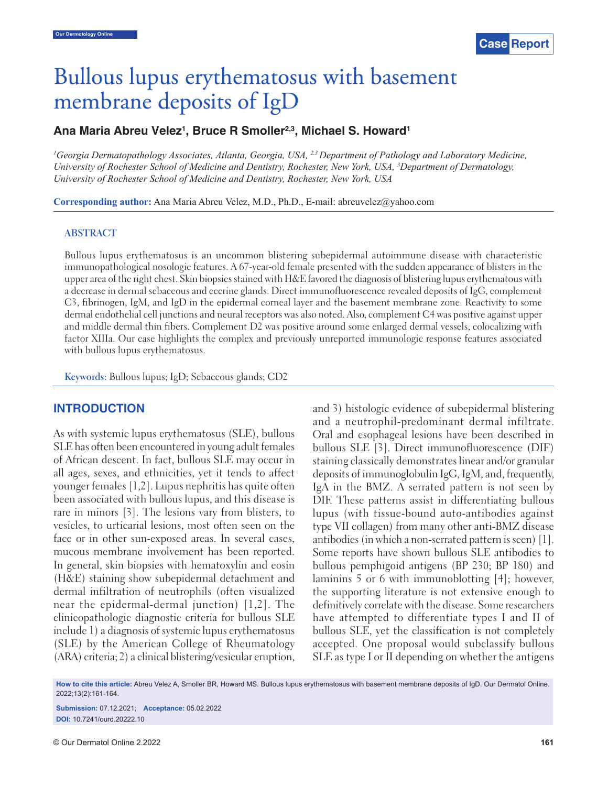# Bullous lupus erythematosus with basement membrane deposits of IgD

## Ana Maria Abreu Velez<sup>1</sup>, Bruce R Smoller<sup>2,3</sup>, Michael S. Howard<sup>1</sup>

<sup>1</sup>Georgia Dermatopathology Associates, Atlanta, Georgia, USA, <sup>2,3</sup> Department of Pathology and Laboratory Medicine, *University of Rochester School of Medicine and Dentistry, Rochester, New York, USA, 3 Department of Dermatology, University of Rochester School of Medicine and Dentistry, Rochester, New York, USA*

**Corresponding author:** Ana Maria Abreu Velez, M.D., Ph.D., E-mail: abreuvelez@yahoo.com

#### **ABSTRACT**

Bullous lupus erythematosus is an uncommon blistering subepidermal autoimmune disease with characteristic immunopathological nosologic features. A 67-year-old female presented with the sudden appearance of blisters in the upper area of the right chest. Skin biopsies stained with H&E favored the diagnosis of blistering lupus erythematous with a decrease in dermal sebaceous and eccrine glands. Direct immunofluorescence revealed deposits of IgG, complement C3, fibrinogen, IgM, and IgD in the epidermal corneal layer and the basement membrane zone. Reactivity to some dermal endothelial cell junctions and neural receptors was also noted. Also, complement C4 was positive against upper and middle dermal thin fibers. Complement D2 was positive around some enlarged dermal vessels, colocalizing with factor XIIIa. Our case highlights the complex and previously unreported immunologic response features associated with bullous lupus erythematosus.

**Keywords:** Bullous lupus; IgD; Sebaceous glands; CD2

### **INTRODUCTION**

As with systemic lupus erythematosus (SLE), bullous SLE has often been encountered in young adult females of African descent. In fact, bullous SLE may occur in all ages, sexes, and ethnicities, yet it tends to affect younger females [1,2]. Lupus nephritis has quite often been associated with bullous lupus, and this disease is rare in minors [3]. The lesions vary from blisters, to vesicles, to urticarial lesions, most often seen on the face or in other sun-exposed areas. In several cases, mucous membrane involvement has been reported. In general, skin biopsies with hematoxylin and eosin (H&E) staining show subepidermal detachment and dermal infiltration of neutrophils (often visualized near the epidermal-dermal junction) [1,2]. The clinicopathologic diagnostic criteria for bullous SLE include 1) a diagnosis of systemic lupus erythematosus (SLE) by the American College of Rheumatology (ARA) criteria; 2) a clinical blistering/vesicular eruption, and 3) histologic evidence of subepidermal blistering and a neutrophil-predominant dermal infiltrate. Oral and esophageal lesions have been described in bullous SLE [3]. Direct immunofluorescence (DIF) staining classically demonstrates linear and/or granular deposits of immunoglobulin IgG, IgM, and, frequently, IgA in the BMZ. A serrated pattern is not seen by DIF. These patterns assist in differentiating bullous lupus (with tissue-bound auto-antibodies against type VII collagen) from many other anti-BMZ disease antibodies (in which a non-serrated pattern is seen) [1]. Some reports have shown bullous SLE antibodies to bullous pemphigoid antigens (BP 230; BP 180) and laminins 5 or 6 with immunoblotting [4]; however, the supporting literature is not extensive enough to definitively correlate with the disease. Some researchers have attempted to differentiate types I and II of bullous SLE, yet the classification is not completely accepted. One proposal would subclassify bullous SLE as type I or II depending on whether the antigens

**How to cite this article:** Abreu Velez A, Smoller BR, Howard MS. Bullous lupus erythematosus with basement membrane deposits of IgD. Our Dermatol Online. 2022;13(2):161-164.

**Submission:** 07.12.2021; **Acceptance:** 05.02.2022 **DOI:** 10.7241/ourd.20222.10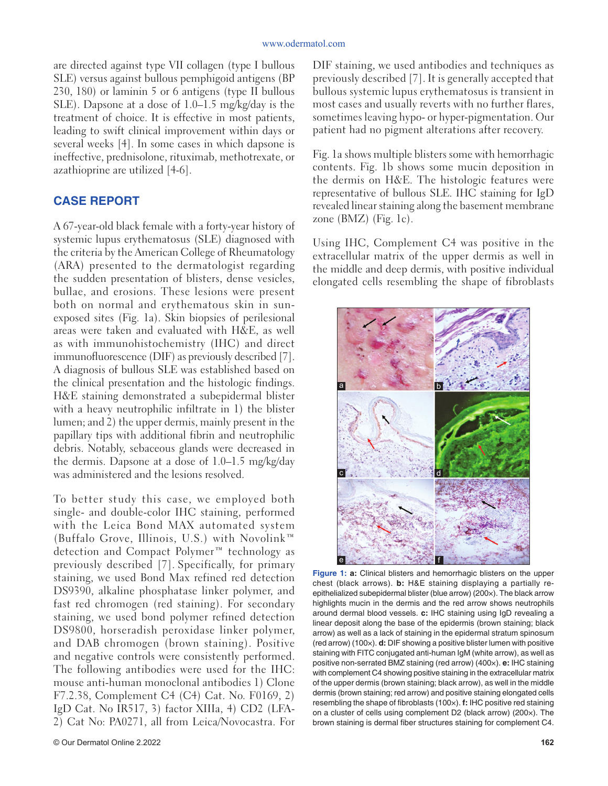are directed against type VII collagen (type I bullous SLE) versus against bullous pemphigoid antigens (BP 230, 180) or laminin 5 or 6 antigens (type II bullous SLE). Dapsone at a dose of 1.0–1.5 mg/kg/day is the treatment of choice. It is effective in most patients, leading to swift clinical improvement within days or several weeks [4]. In some cases in which dapsone is ineffective, prednisolone, rituximab, methotrexate, or azathioprine are utilized [4-6].

### **CASE REPORT**

A 67-year-old black female with a forty-year history of systemic lupus erythematosus (SLE) diagnosed with the criteria by the American College of Rheumatology (ARA) presented to the dermatologist regarding the sudden presentation of blisters, dense vesicles, bullae, and erosions. These lesions were present both on normal and erythematous skin in sunexposed sites (Fig. 1a). Skin biopsies of perilesional areas were taken and evaluated with H&E, as well as with immunohistochemistry (IHC) and direct immunofluorescence (DIF) as previously described [7]. A diagnosis of bullous SLE was established based on the clinical presentation and the histologic findings. H&E staining demonstrated a subepidermal blister with a heavy neutrophilic infiltrate in 1) the blister lumen; and 2) the upper dermis, mainly present in the papillary tips with additional fibrin and neutrophilic debris. Notably, sebaceous glands were decreased in the dermis. Dapsone at a dose of 1.0–1.5 mg/kg/day was administered and the lesions resolved.

To better study this case, we employed both single- and double-color IHC staining, performed with the Leica Bond MAX automated system (Buffalo Grove, Illinois, U.S.) with Novolink™ detection and Compact Polymer™ technology as previously described [7]. Specifically, for primary staining, we used Bond Max refined red detection DS9390, alkaline phosphatase linker polymer, and fast red chromogen (red staining). For secondary staining, we used bond polymer refined detection DS9800, horseradish peroxidase linker polymer, and DAB chromogen (brown staining). Positive and negative controls were consistently performed. The following antibodies were used for the IHC: mouse anti-human monoclonal antibodies 1) Clone F7.2.38, Complement C4 (C4) Cat. No. F0169, 2) IgD Cat. No IR517, 3) factor XIIIa, 4) CD2 (LFA-2) Cat No: PA0271, all from Leica/Novocastra. For

DIF staining, we used antibodies and techniques as previously described [7]. It is generally accepted that bullous systemic lupus erythematosus is transient in most cases and usually reverts with no further flares, sometimes leaving hypo- or hyper-pigmentation. Our patient had no pigment alterations after recovery.

Fig. 1a shows multiple blisters some with hemorrhagic contents. Fig. 1b shows some mucin deposition in the dermis on H&E. The histologic features were representative of bullous SLE. IHC staining for IgD revealed linear staining along the basement membrane zone  $(BMZ)$  (Fig. 1c).

Using IHC, Complement C4 was positive in the extracellular matrix of the upper dermis as well in the middle and deep dermis, with positive individual elongated cells resembling the shape of fibroblasts



**Figure 1: a:** Clinical blisters and hemorrhagic blisters on the upper chest (black arrows). **b:** H&E staining displaying a partially reepithelialized subepidermal blister (blue arrow) (200×). The black arrow highlights mucin in the dermis and the red arrow shows neutrophils around dermal blood vessels. **c:** IHC staining using IgD revealing a linear deposit along the base of the epidermis (brown staining; black arrow) as well as a lack of staining in the epidermal stratum spinosum (red arrow) (100×). **d:** DIF showing a positive blister lumen with positive staining with FITC conjugated anti-human IgM (white arrow), as well as positive non-serrated BMZ staining (red arrow) (400×). **e:** IHC staining with complement C4 showing positive staining in the extracellular matrix of the upper dermis (brown staining; black arrow), as well in the middle dermis (brown staining; red arrow) and positive staining elongated cells resembling the shape of fibroblasts (100x). **f:** IHC positive red staining on a cluster of cells using complement D2 (black arrow) (200×). The brown staining is dermal fiber structures staining for complement C4.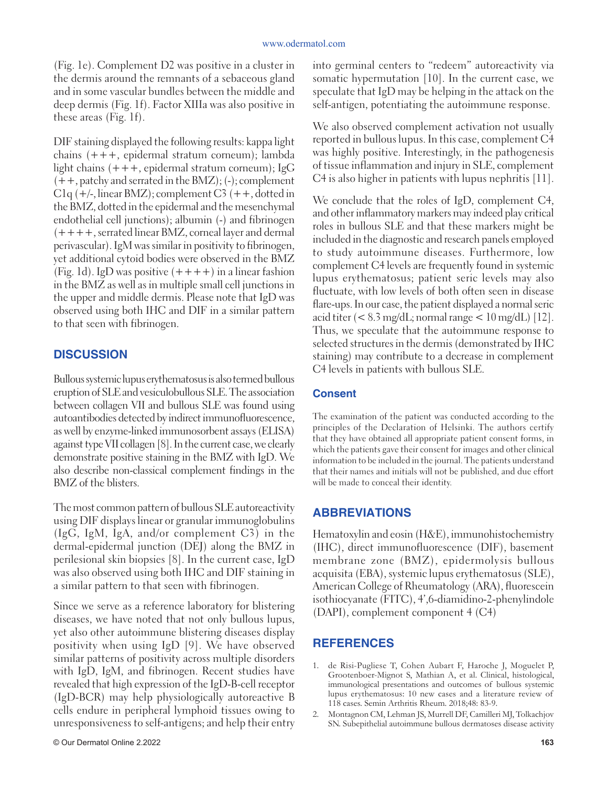(Fig. 1e). Complement D2 was positive in a cluster in the dermis around the remnants of a sebaceous gland and in some vascular bundles between the middle and deep dermis (Fig. 1f). Factor XIIIa was also positive in these areas (Fig. 1f).

DIF staining displayed the following results: kappa light chains (+++, epidermal stratum corneum); lambda light chains  $(+++)$ , epidermal stratum corneum); IgG  $(++,$  patchy and serrated in the BMZ);  $(-)$ ; complement  $C1q (+/-, linear BMZ); complement C3 (++, dotted in$ the BMZ, dotted in the epidermal and the mesenchymal endothelial cell junctions); albumin (-) and fibrinogen  $(++++,$  serrated linear BMZ, corneal layer and dermal perivascular). IgM was similar in positivity to fibrinogen, yet additional cytoid bodies were observed in the BMZ (Fig. 1d). IgD was positive  $(++++)$  in a linear fashion in the BMZ as well as in multiple small cell junctions in the upper and middle dermis. Please note that IgD was observed using both IHC and DIF in a similar pattern to that seen with fibrinogen.

## **DISCUSSION**

Bullous systemic lupus erythematosus is also termed bullous eruption of SLE and vesiculobullous SLE. The association between collagen VII and bullous SLE was found using autoantibodies detected by indirect immunofluorescence, as well by enzyme-linked immunosorbent assays (ELISA) against type VII collagen [8]. In the current case, we clearly demonstrate positive staining in the BMZ with IgD. We also describe non-classical complement findings in the BMZ of the blisters.

The most common pattern of bullous SLE autoreactivity using DIF displays linear or granular immunoglobulins (IgG, IgM, IgA, and/or complement C3) in the dermal-epidermal junction (DEJ) along the BMZ in perilesional skin biopsies [8]. In the current case, IgD was also observed using both IHC and DIF staining in a similar pattern to that seen with fibrinogen.

Since we serve as a reference laboratory for blistering diseases, we have noted that not only bullous lupus, yet also other autoimmune blistering diseases display positivity when using IgD [9]. We have observed similar patterns of positivity across multiple disorders with IgD, IgM, and fibrinogen. Recent studies have revealed that high expression of the IgD-B-cell receptor (IgD-BCR) may help physiologically autoreactive B cells endure in peripheral lymphoid tissues owing to unresponsiveness to self-antigens; and help their entry into germinal centers to "redeem" autoreactivity via somatic hypermutation [10]. In the current case, we speculate that IgD may be helping in the attack on the self-antigen, potentiating the autoimmune response.

We also observed complement activation not usually reported in bullous lupus. In this case, complement C4 was highly positive. Interestingly, in the pathogenesis of tissue inflammation and injury in SLE, complement C4 is also higher in patients with lupus nephritis [11].

We conclude that the roles of IgD, complement C4, and other inflammatory markers may indeed play critical roles in bullous SLE and that these markers might be included in the diagnostic and research panels employed to study autoimmune diseases. Furthermore, low complement C4 levels are frequently found in systemic lupus erythematosus; patient seric levels may also fluctuate, with low levels of both often seen in disease flare-ups. In our case, the patient displayed a normal seric acid titer  $(< 8.3 \text{ mg/dL}$ ; normal range  $< 10 \text{ mg/dL}$  [12]. Thus, we speculate that the autoimmune response to selected structures in the dermis (demonstrated by IHC staining) may contribute to a decrease in complement C4 levels in patients with bullous SLE.

#### **Consent**

The examination of the patient was conducted according to the principles of the Declaration of Helsinki. The authors certify that they have obtained all appropriate patient consent forms, in which the patients gave their consent for images and other clinical information to be included in the journal. The patients understand that their names and initials will not be published, and due effort will be made to conceal their identity.

## **ABBREVIATIONS**

Hematoxylin and eosin (H&E), immunohistochemistry (IHC), direct immunofluorescence (DIF), basement membrane zone (BMZ), epidermolysis bullous acquisita (EBA), systemic lupus erythematosus (SLE), American College of Rheumatology (ARA), fluorescein isothiocyanate (FITC), 4',6-diamidino-2-phenylindole (DAPI), complement component 4 (C4)

## **REFERENCES**

- 1. de Risi-Pugliese T, Cohen Aubart F, Haroche J, Moguelet P, Grootenboer-Mignot S, Mathian A, et al. Clinical, histological, immunological presentations and outcomes of bullous systemic lupus erythematosus: 10 new cases and a literature review of 118 cases. Semin Arthritis Rheum. 2018;48: 83-9.
- 2. Montagnon CM, Lehman JS, Murrell DF, Camilleri MJ, Tolkachjov SN. Subepithelial autoimmune bullous dermatoses disease activity